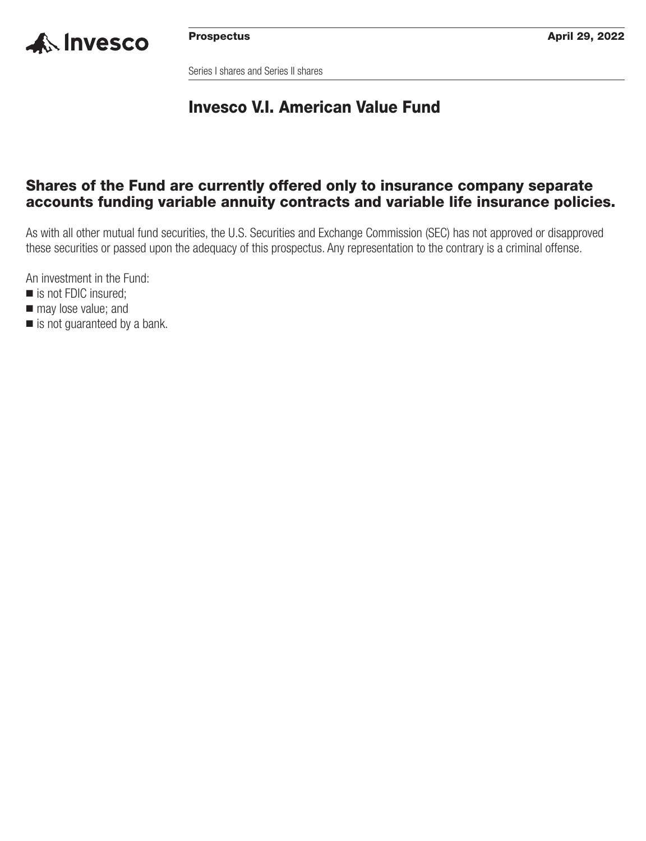

Series I shares and Series II shares

## **Invesco V.I. American Value Fund**

## **Shares of the Fund are currently offered only to insurance company separate accounts funding variable annuity contracts and variable life insurance policies.**

As with all other mutual fund securities, the U.S. Securities and Exchange Commission (SEC) has not approved or disapproved these securities or passed upon the adequacy of this prospectus. Any representation to the contrary is a criminal offense.

An investment in the Fund:

- is not FDIC insured;
- $\blacksquare$  may lose value; and
- is not guaranteed by a bank.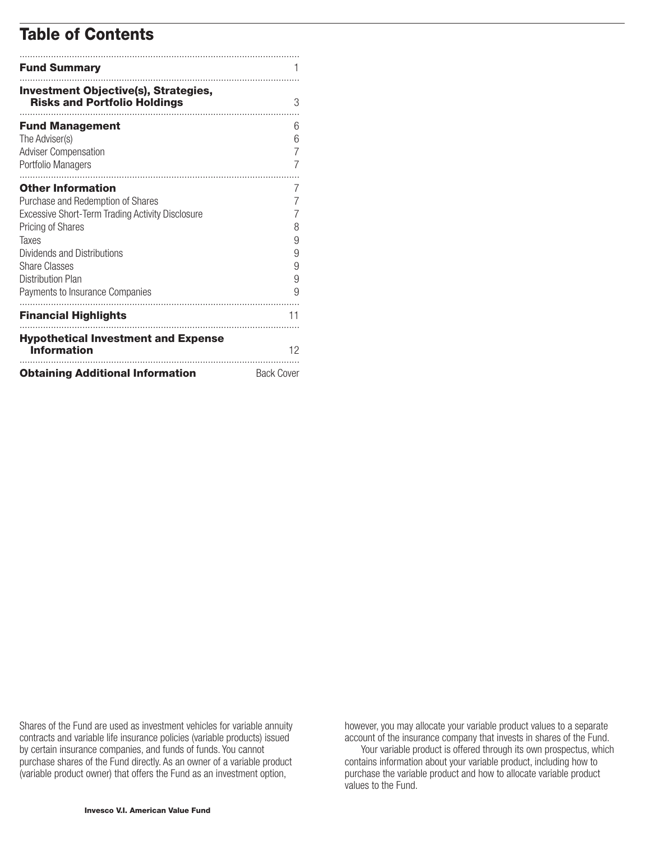## **Table of Contents**

| <b>Fund Summary</b>                                                                                                                                                                                                                                                          |                                                    |
|------------------------------------------------------------------------------------------------------------------------------------------------------------------------------------------------------------------------------------------------------------------------------|----------------------------------------------------|
| <b>Investment Objective(s), Strategies,</b><br><b>Risks and Portfolio Holdings</b>                                                                                                                                                                                           | 3                                                  |
| <b>Fund Management</b><br>The Adviser(s)<br><b>Adviser Compensation</b><br>Portfolio Managers                                                                                                                                                                                | 6<br>6<br>7<br>7                                   |
| <b>Other Information</b><br>Purchase and Redemption of Shares<br>Excessive Short-Term Trading Activity Disclosure<br><b>Pricing of Shares</b><br>Taxes<br>Dividends and Distributions<br><b>Share Classes</b><br><b>Distribution Plan</b><br>Payments to Insurance Companies | $\sqrt{2}$<br>7<br>7<br>8<br>9<br>9<br>9<br>9<br>9 |
| <b>Financial Highlights</b>                                                                                                                                                                                                                                                  | 11                                                 |
| <b>Hypothetical Investment and Expense</b><br><b>Information</b>                                                                                                                                                                                                             | 12                                                 |
| <b>Obtaining Additional Information</b>                                                                                                                                                                                                                                      | <b>Back Cover</b>                                  |

Shares of the Fund are used as investment vehicles for variable annuity contracts and variable life insurance policies (variable products) issued by certain insurance companies, and funds of funds. You cannot purchase shares of the Fund directly. As an owner of a variable product (variable product owner) that offers the Fund as an investment option,

however, you may allocate your variable product values to a separate account of the insurance company that invests in shares of the Fund.

Your variable product is offered through its own prospectus, which contains information about your variable product, including how to purchase the variable product and how to allocate variable product values to the Fund.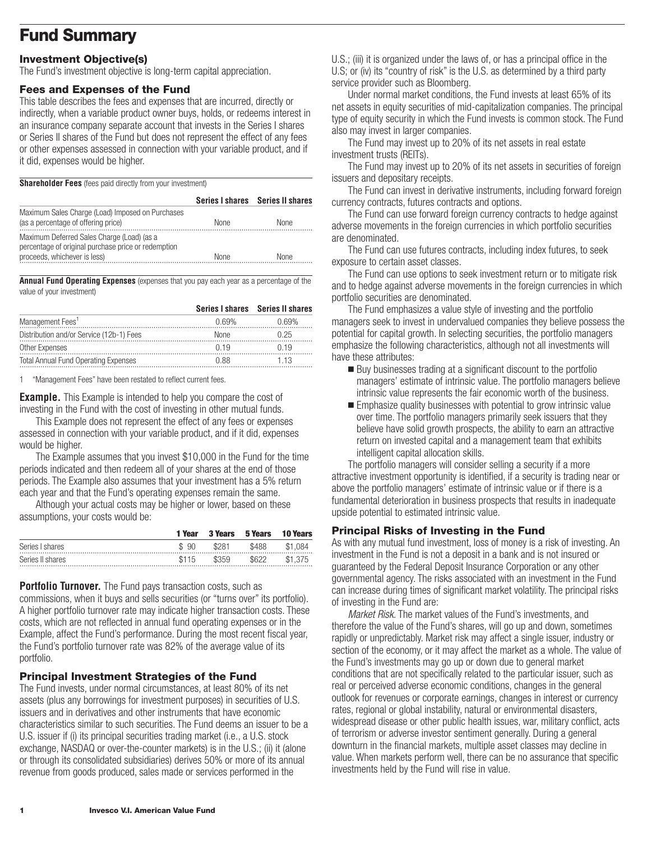## <span id="page-2-0"></span>**Fund Summary**

## **Investment Objective(s)**

The Fund's investment objective is long-term capital appreciation.

#### **Fees and Expenses of the Fund**

This table describes the fees and expenses that are incurred, directly or indirectly, when a variable product owner buys, holds, or redeems interest in an insurance company separate account that invests in the Series I shares or Series II shares of the Fund but does not represent the effect of any fees or other expenses assessed in connection with your variable product, and if it did, expenses would be higher.

**Shareholder Fees** (fees paid directly from your investment)

|                                                                                                                                   |             | Series I shares Series II shares |
|-----------------------------------------------------------------------------------------------------------------------------------|-------------|----------------------------------|
| Maximum Sales Charge (Load) Imposed on Purchases<br>(as a percentage of offering price)                                           | <b>None</b> | <b>None</b>                      |
| Maximum Deferred Sales Charge (Load) (as a<br>percentage of original purchase price or redemption<br>proceeds, whichever is less) | None        | <b>None</b>                      |

**Annual Fund Operating Expenses** (expenses that you pay each year as a percentage of the value of your investment)

|                                             |       | Series I shares Series II shares |
|---------------------------------------------|-------|----------------------------------|
| Management Fees <sup>1</sup>                | በ 69% | በ 69%                            |
| Distribution and/or Service (12b-1) Fees    | None  | በ 25                             |
| Other Expenses                              | n 19  | 119                              |
| <b>Total Annual Fund Operating Expenses</b> | በ ጸጸ  | 1 13                             |

1 "Management Fees" have been restated to reflect current fees.

**Example.** This Example is intended to help you compare the cost of investing in the Fund with the cost of investing in other mutual funds.

This Example does not represent the effect of any fees or expenses assessed in connection with your variable product, and if it did, expenses would be higher.

The Example assumes that you invest \$10,000 in the Fund for the time periods indicated and then redeem all of your shares at the end of those periods. The Example also assumes that your investment has a 5% return each year and that the Fund's operating expenses remain the same.

Although your actual costs may be higher or lower, based on these assumptions, your costs would be:

|                  | 1 Year | 3 Years | 5 Years | <b>10 Years</b> |
|------------------|--------|---------|---------|-----------------|
| Series I shares  | \$90   | \$281   | \$488   | \$1.084         |
| Series II shares | \$115  | \$359   | \$622   | \$1.375         |

**Portfolio Turnover.** The Fund pays transaction costs, such as commissions, when it buys and sells securities (or "turns over" its portfolio). A higher portfolio turnover rate may indicate higher transaction costs. These costs, which are not reflected in annual fund operating expenses or in the Example, affect the Fund's performance. During the most recent fiscal year, the Fund's portfolio turnover rate was 82% of the average value of its portfolio.

### **Principal Investment Strategies of the Fund**

The Fund invests, under normal circumstances, at least 80% of its net assets (plus any borrowings for investment purposes) in securities of U.S. issuers and in derivatives and other instruments that have economic characteristics similar to such securities. The Fund deems an issuer to be a U.S. issuer if (i) its principal securities trading market (i.e., a U.S. stock exchange, NASDAQ or over-the-counter markets) is in the U.S.; (ii) it (alone or through its consolidated subsidiaries) derives 50% or more of its annual revenue from goods produced, sales made or services performed in the

U.S.; (iii) it is organized under the laws of, or has a principal office in the U.S; or (iv) its "country of risk" is the U.S. as determined by a third party service provider such as Bloomberg.

Under normal market conditions, the Fund invests at least 65% of its net assets in equity securities of mid-capitalization companies. The principal type of equity security in which the Fund invests is common stock. The Fund also may invest in larger companies.

The Fund may invest up to 20% of its net assets in real estate investment trusts (REITs).

The Fund may invest up to 20% of its net assets in securities of foreign issuers and depositary receipts.

The Fund can invest in derivative instruments, including forward foreign currency contracts, futures contracts and options.

The Fund can use forward foreign currency contracts to hedge against adverse movements in the foreign currencies in which portfolio securities are denominated.

The Fund can use futures contracts, including index futures, to seek exposure to certain asset classes.

The Fund can use options to seek investment return or to mitigate risk and to hedge against adverse movements in the foreign currencies in which portfolio securities are denominated.

The Fund emphasizes a value style of investing and the portfolio managers seek to invest in undervalued companies they believe possess the potential for capital growth. In selecting securities, the portfolio managers emphasize the following characteristics, although not all investments will have these attributes:

- Buy businesses trading at a significant discount to the portfolio managers' estimate of intrinsic value. The portfolio managers believe intrinsic value represents the fair economic worth of the business.
- **Emphasize quality businesses with potential to grow intrinsic value** over time. The portfolio managers primarily seek issuers that they believe have solid growth prospects, the ability to earn an attractive return on invested capital and a management team that exhibits intelligent capital allocation skills.

The portfolio managers will consider selling a security if a more attractive investment opportunity is identified, if a security is trading near or above the portfolio managers' estimate of intrinsic value or if there is a fundamental deterioration in business prospects that results in inadequate upside potential to estimated intrinsic value.

### **Principal Risks of Investing in the Fund**

As with any mutual fund investment, loss of money is a risk of investing. An investment in the Fund is not a deposit in a bank and is not insured or guaranteed by the Federal Deposit Insurance Corporation or any other governmental agency. The risks associated with an investment in the Fund can increase during times of significant market volatility. The principal risks of investing in the Fund are:

*Market Risk.* The market values of the Fund's investments, and therefore the value of the Fund's shares, will go up and down, sometimes rapidly or unpredictably. Market risk may affect a single issuer, industry or section of the economy, or it may affect the market as a whole. The value of the Fund's investments may go up or down due to general market conditions that are not specifically related to the particular issuer, such as real or perceived adverse economic conditions, changes in the general outlook for revenues or corporate earnings, changes in interest or currency rates, regional or global instability, natural or environmental disasters, widespread disease or other public health issues, war, military conflict, acts of terrorism or adverse investor sentiment generally. During a general downturn in the financial markets, multiple asset classes may decline in value. When markets perform well, there can be no assurance that specific investments held by the Fund will rise in value.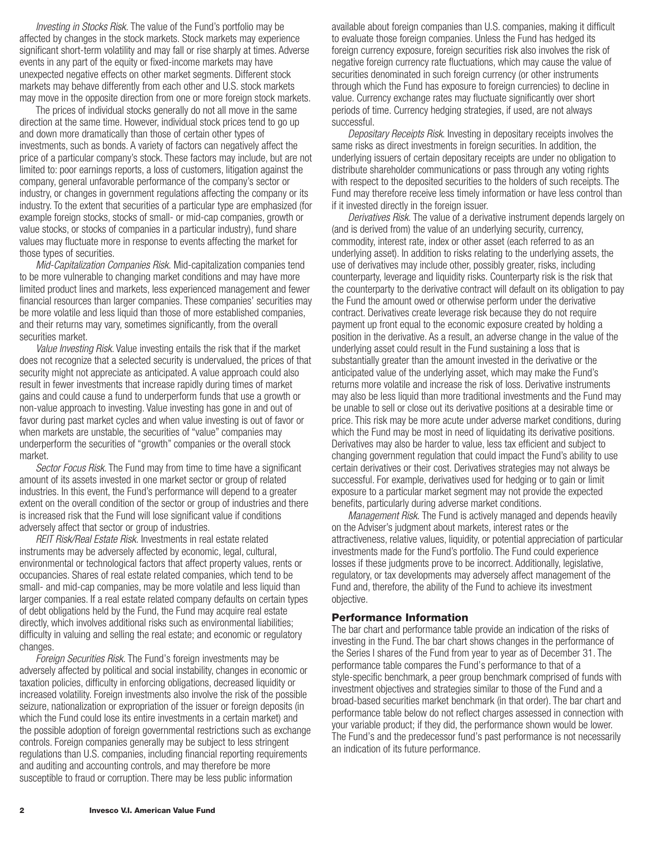*Investing in Stocks Risk.* The value of the Fund's portfolio may be affected by changes in the stock markets. Stock markets may experience significant short-term volatility and may fall or rise sharply at times. Adverse events in any part of the equity or fixed-income markets may have unexpected negative effects on other market segments. Different stock markets may behave differently from each other and U.S. stock markets may move in the opposite direction from one or more foreign stock markets.

The prices of individual stocks generally do not all move in the same direction at the same time. However, individual stock prices tend to go up and down more dramatically than those of certain other types of investments, such as bonds. A variety of factors can negatively affect the price of a particular company's stock. These factors may include, but are not limited to: poor earnings reports, a loss of customers, litigation against the company, general unfavorable performance of the company's sector or industry, or changes in government regulations affecting the company or its industry. To the extent that securities of a particular type are emphasized (for example foreign stocks, stocks of small- or mid-cap companies, growth or value stocks, or stocks of companies in a particular industry), fund share values may fluctuate more in response to events affecting the market for those types of securities.

*Mid-Capitalization Companies Risk.* Mid-capitalization companies tend to be more vulnerable to changing market conditions and may have more limited product lines and markets, less experienced management and fewer financial resources than larger companies. These companies' securities may be more volatile and less liquid than those of more established companies, and their returns may vary, sometimes significantly, from the overall securities market.

*Value Investing Risk*. Value investing entails the risk that if the market does not recognize that a selected security is undervalued, the prices of that security might not appreciate as anticipated. A value approach could also result in fewer investments that increase rapidly during times of market gains and could cause a fund to underperform funds that use a growth or non-value approach to investing. Value investing has gone in and out of favor during past market cycles and when value investing is out of favor or when markets are unstable, the securities of "value" companies may underperform the securities of "growth" companies or the overall stock market.

*Sector Focus Risk*. The Fund may from time to time have a significant amount of its assets invested in one market sector or group of related industries. In this event, the Fund's performance will depend to a greater extent on the overall condition of the sector or group of industries and there is increased risk that the Fund will lose significant value if conditions adversely affect that sector or group of industries.

*REIT Risk/Real Estate Risk.* Investments in real estate related instruments may be adversely affected by economic, legal, cultural, environmental or technological factors that affect property values, rents or occupancies. Shares of real estate related companies, which tend to be small- and mid-cap companies, may be more volatile and less liquid than larger companies. If a real estate related company defaults on certain types of debt obligations held by the Fund, the Fund may acquire real estate directly, which involves additional risks such as environmental liabilities; difficulty in valuing and selling the real estate; and economic or regulatory changes.

*Foreign Securities Risk.* The Fund's foreign investments may be adversely affected by political and social instability, changes in economic or taxation policies, difficulty in enforcing obligations, decreased liquidity or increased volatility. Foreign investments also involve the risk of the possible seizure, nationalization or expropriation of the issuer or foreign deposits (in which the Fund could lose its entire investments in a certain market) and the possible adoption of foreign governmental restrictions such as exchange controls. Foreign companies generally may be subject to less stringent regulations than U.S. companies, including financial reporting requirements and auditing and accounting controls, and may therefore be more susceptible to fraud or corruption. There may be less public information

available about foreign companies than U.S. companies, making it difficult to evaluate those foreign companies. Unless the Fund has hedged its foreign currency exposure, foreign securities risk also involves the risk of negative foreign currency rate fluctuations, which may cause the value of securities denominated in such foreign currency (or other instruments through which the Fund has exposure to foreign currencies) to decline in value. Currency exchange rates may fluctuate significantly over short periods of time. Currency hedging strategies, if used, are not always successful.

*Depositary Receipts Risk*. Investing in depositary receipts involves the same risks as direct investments in foreign securities. In addition, the underlying issuers of certain depositary receipts are under no obligation to distribute shareholder communications or pass through any voting rights with respect to the deposited securities to the holders of such receipts. The Fund may therefore receive less timely information or have less control than if it invested directly in the foreign issuer.

*Derivatives Risk.* The value of a derivative instrument depends largely on (and is derived from) the value of an underlying security, currency, commodity, interest rate, index or other asset (each referred to as an underlying asset). In addition to risks relating to the underlying assets, the use of derivatives may include other, possibly greater, risks, including counterparty, leverage and liquidity risks. Counterparty risk is the risk that the counterparty to the derivative contract will default on its obligation to pay the Fund the amount owed or otherwise perform under the derivative contract. Derivatives create leverage risk because they do not require payment up front equal to the economic exposure created by holding a position in the derivative. As a result, an adverse change in the value of the underlying asset could result in the Fund sustaining a loss that is substantially greater than the amount invested in the derivative or the anticipated value of the underlying asset, which may make the Fund's returns more volatile and increase the risk of loss. Derivative instruments may also be less liquid than more traditional investments and the Fund may be unable to sell or close out its derivative positions at a desirable time or price. This risk may be more acute under adverse market conditions, during which the Fund may be most in need of liquidating its derivative positions. Derivatives may also be harder to value, less tax efficient and subject to changing government regulation that could impact the Fund's ability to use certain derivatives or their cost. Derivatives strategies may not always be successful. For example, derivatives used for hedging or to gain or limit exposure to a particular market segment may not provide the expected benefits, particularly during adverse market conditions.

*Management Risk.* The Fund is actively managed and depends heavily on the Adviser's judgment about markets, interest rates or the attractiveness, relative values, liquidity, or potential appreciation of particular investments made for the Fund's portfolio. The Fund could experience losses if these judgments prove to be incorrect. Additionally, legislative, regulatory, or tax developments may adversely affect management of the Fund and, therefore, the ability of the Fund to achieve its investment objective.

#### **Performance Information**

The bar chart and performance table provide an indication of the risks of investing in the Fund. The bar chart shows changes in the performance of the Series I shares of the Fund from year to year as of December 31. The performance table compares the Fund's performance to that of a style-specific benchmark, a peer group benchmark comprised of funds with investment objectives and strategies similar to those of the Fund and a broad-based securities market benchmark (in that order). The bar chart and performance table below do not reflect charges assessed in connection with your variable product; if they did, the performance shown would be lower. The Fund's and the predecessor fund's past performance is not necessarily an indication of its future performance.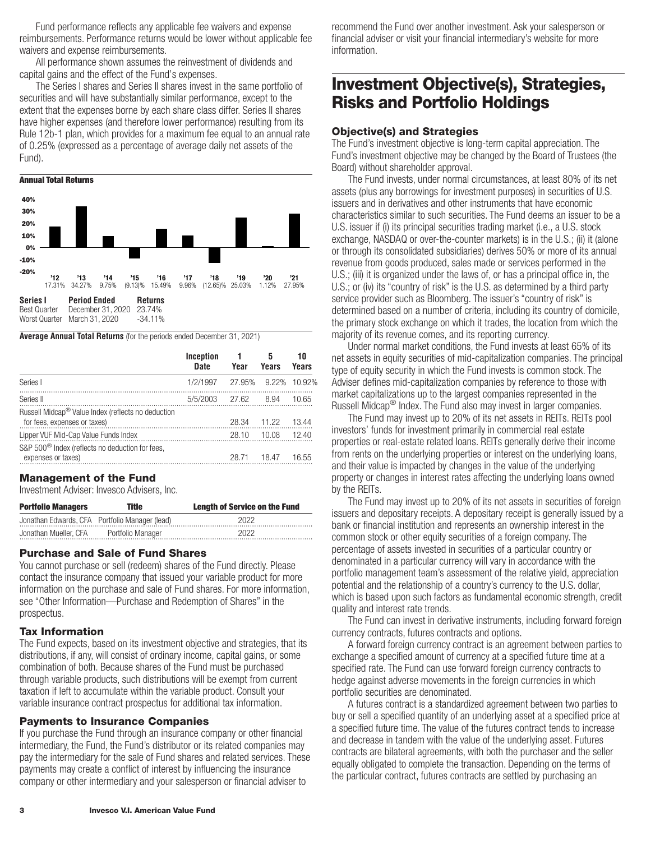<span id="page-4-0"></span>Fund performance reflects any applicable fee waivers and expense reimbursements. Performance returns would be lower without applicable fee waivers and expense reimbursements.

All performance shown assumes the reinvestment of dividends and capital gains and the effect of the Fund's expenses.

The Series I shares and Series II shares invest in the same portfolio of securities and will have substantially similar performance, except to the extent that the expenses borne by each share class differ. Series II shares have higher expenses (and therefore lower performance) resulting from its Rule 12b-1 plan, which provides for a maximum fee equal to an annual rate of 0.25% (expressed as a percentage of average daily net assets of the Fund).



**Average Annual Total Returns** (for the periods ended December 31, 2021)

|                                                                                                | Inception<br><b>Date</b> | Year  | 5<br>Years   | 10<br>Years |
|------------------------------------------------------------------------------------------------|--------------------------|-------|--------------|-------------|
| Series I                                                                                       | 1/2/1997                 |       | 27.95% 9.22% | 10.92%      |
| Series II                                                                                      | 5/5/2003                 | 27.62 | 8.94         | 10.65       |
| Russell Midcap <sup>®</sup> Value Index (reflects no deduction<br>for fees, expenses or taxes) |                          | 28.34 | 11.22        | 13.44       |
| Lipper VUF Mid-Cap Value Funds Index                                                           |                          | 28.10 | 10.08        | 12.40       |
| S&P 500 <sup>®</sup> Index (reflects no deduction for fees,<br>expenses or taxes)              |                          | 28.71 | 18.47        | 16.55       |

#### **Management of the Fund**

Investment Adviser: Invesco Advisers, Inc.

| <b>Portfolio Managers</b> | Title                                          | <b>Length of Service on the Fund</b> |
|---------------------------|------------------------------------------------|--------------------------------------|
|                           | Jonathan Edwards, CFA Portfolio Manager (lead) | 2022                                 |
| Jonathan Mueller, CFA     | Portfolio Manager                              | 2022                                 |

### **Purchase and Sale of Fund Shares**

You cannot purchase or sell (redeem) shares of the Fund directly. Please contact the insurance company that issued your variable product for more information on the purchase and sale of Fund shares. For more information, see "Other Information—Purchase and Redemption of Shares" in the prospectus.

#### **Tax Information**

The Fund expects, based on its investment objective and strategies, that its distributions, if any, will consist of ordinary income, capital gains, or some combination of both. Because shares of the Fund must be purchased through variable products, such distributions will be exempt from current taxation if left to accumulate within the variable product. Consult your variable insurance contract prospectus for additional tax information.

### **Payments to Insurance Companies**

If you purchase the Fund through an insurance company or other financial intermediary, the Fund, the Fund's distributor or its related companies may pay the intermediary for the sale of Fund shares and related services. These payments may create a conflict of interest by influencing the insurance company or other intermediary and your salesperson or financial adviser to

recommend the Fund over another investment. Ask your salesperson or financial adviser or visit your financial intermediary's website for more information.

## **Investment Objective(s), Strategies, Risks and Portfolio Holdings**

#### **Objective(s) and Strategies**

The Fund's investment objective is long-term capital appreciation. The Fund's investment objective may be changed by the Board of Trustees (the Board) without shareholder approval.

The Fund invests, under normal circumstances, at least 80% of its net assets (plus any borrowings for investment purposes) in securities of U.S. issuers and in derivatives and other instruments that have economic characteristics similar to such securities. The Fund deems an issuer to be a U.S. issuer if (i) its principal securities trading market (i.e., a U.S. stock exchange, NASDAQ or over-the-counter markets) is in the U.S.; (ii) it (alone or through its consolidated subsidiaries) derives 50% or more of its annual revenue from goods produced, sales made or services performed in the U.S.; (iii) it is organized under the laws of, or has a principal office in, the U.S.; or (iv) its "country of risk" is the U.S. as determined by a third party service provider such as Bloomberg. The issuer's "country of risk" is determined based on a number of criteria, including its country of domicile, the primary stock exchange on which it trades, the location from which the majority of its revenue comes, and its reporting currency.

Under normal market conditions, the Fund invests at least 65% of its net assets in equity securities of mid-capitalization companies. The principal type of equity security in which the Fund invests is common stock. The Adviser defines mid-capitalization companies by reference to those with market capitalizations up to the largest companies represented in the Russell Midcap<sup>®</sup> Index. The Fund also may invest in larger companies.

The Fund may invest up to 20% of its net assets in REITs. REITs pool investors' funds for investment primarily in commercial real estate properties or real-estate related loans. REITs generally derive their income from rents on the underlying properties or interest on the underlying loans, and their value is impacted by changes in the value of the underlying property or changes in interest rates affecting the underlying loans owned by the REITs.

The Fund may invest up to 20% of its net assets in securities of foreign issuers and depositary receipts. A depositary receipt is generally issued by a bank or financial institution and represents an ownership interest in the common stock or other equity securities of a foreign company. The percentage of assets invested in securities of a particular country or denominated in a particular currency will vary in accordance with the portfolio management team's assessment of the relative yield, appreciation potential and the relationship of a country's currency to the U.S. dollar, which is based upon such factors as fundamental economic strength, credit quality and interest rate trends.

The Fund can invest in derivative instruments, including forward foreign currency contracts, futures contracts and options.

A forward foreign currency contract is an agreement between parties to exchange a specified amount of currency at a specified future time at a specified rate. The Fund can use forward foreign currency contracts to hedge against adverse movements in the foreign currencies in which portfolio securities are denominated.

A futures contract is a standardized agreement between two parties to buy or sell a specified quantity of an underlying asset at a specified price at a specified future time. The value of the futures contract tends to increase and decrease in tandem with the value of the underlying asset. Futures contracts are bilateral agreements, with both the purchaser and the seller equally obligated to complete the transaction. Depending on the terms of the particular contract, futures contracts are settled by purchasing an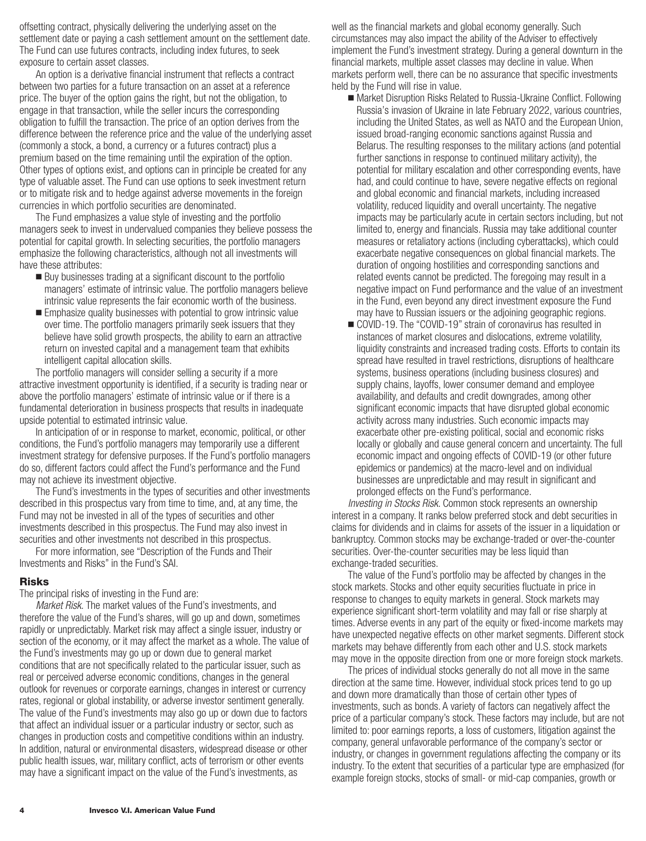offsetting contract, physically delivering the underlying asset on the settlement date or paying a cash settlement amount on the settlement date. The Fund can use futures contracts, including index futures, to seek exposure to certain asset classes.

An option is a derivative financial instrument that reflects a contract between two parties for a future transaction on an asset at a reference price. The buyer of the option gains the right, but not the obligation, to engage in that transaction, while the seller incurs the corresponding obligation to fulfill the transaction. The price of an option derives from the difference between the reference price and the value of the underlying asset (commonly a stock, a bond, a currency or a futures contract) plus a premium based on the time remaining until the expiration of the option. Other types of options exist, and options can in principle be created for any type of valuable asset. The Fund can use options to seek investment return or to mitigate risk and to hedge against adverse movements in the foreign currencies in which portfolio securities are denominated.

The Fund emphasizes a value style of investing and the portfolio managers seek to invest in undervalued companies they believe possess the potential for capital growth. In selecting securities, the portfolio managers emphasize the following characteristics, although not all investments will have these attributes:

- Buy businesses trading at a significant discount to the portfolio managers' estimate of intrinsic value. The portfolio managers believe intrinsic value represents the fair economic worth of the business.
- **Emphasize quality businesses with potential to grow intrinsic value** over time. The portfolio managers primarily seek issuers that they believe have solid growth prospects, the ability to earn an attractive return on invested capital and a management team that exhibits intelligent capital allocation skills.

The portfolio managers will consider selling a security if a more attractive investment opportunity is identified, if a security is trading near or above the portfolio managers' estimate of intrinsic value or if there is a fundamental deterioration in business prospects that results in inadequate upside potential to estimated intrinsic value.

In anticipation of or in response to market, economic, political, or other conditions, the Fund's portfolio managers may temporarily use a different investment strategy for defensive purposes. If the Fund's portfolio managers do so, different factors could affect the Fund's performance and the Fund may not achieve its investment objective.

The Fund's investments in the types of securities and other investments described in this prospectus vary from time to time, and, at any time, the Fund may not be invested in all of the types of securities and other investments described in this prospectus. The Fund may also invest in securities and other investments not described in this prospectus.

For more information, see "Description of the Funds and Their Investments and Risks" in the Fund's SAI.

#### **Risks**

The principal risks of investing in the Fund are:

*Market Risk.* The market values of the Fund's investments, and therefore the value of the Fund's shares, will go up and down, sometimes rapidly or unpredictably. Market risk may affect a single issuer, industry or section of the economy, or it may affect the market as a whole. The value of the Fund's investments may go up or down due to general market conditions that are not specifically related to the particular issuer, such as real or perceived adverse economic conditions, changes in the general outlook for revenues or corporate earnings, changes in interest or currency rates, regional or global instability, or adverse investor sentiment generally. The value of the Fund's investments may also go up or down due to factors that affect an individual issuer or a particular industry or sector, such as changes in production costs and competitive conditions within an industry. In addition, natural or environmental disasters, widespread disease or other public health issues, war, military conflict, acts of terrorism or other events may have a significant impact on the value of the Fund's investments, as

well as the financial markets and global economy generally. Such circumstances may also impact the ability of the Adviser to effectively implement the Fund's investment strategy. During a general downturn in the financial markets, multiple asset classes may decline in value. When markets perform well, there can be no assurance that specific investments held by the Fund will rise in value.

- Market Disruption Risks Related to Russia-Ukraine Conflict. Following Russia's invasion of Ukraine in late February 2022, various countries, including the United States, as well as NATO and the European Union, issued broad-ranging economic sanctions against Russia and Belarus. The resulting responses to the military actions (and potential further sanctions in response to continued military activity), the potential for military escalation and other corresponding events, have had, and could continue to have, severe negative effects on regional and global economic and financial markets, including increased volatility, reduced liquidity and overall uncertainty. The negative impacts may be particularly acute in certain sectors including, but not limited to, energy and financials. Russia may take additional counter measures or retaliatory actions (including cyberattacks), which could exacerbate negative consequences on global financial markets. The duration of ongoing hostilities and corresponding sanctions and related events cannot be predicted. The foregoing may result in a negative impact on Fund performance and the value of an investment in the Fund, even beyond any direct investment exposure the Fund may have to Russian issuers or the adjoining geographic regions.
- COVID-19. The "COVID-19" strain of coronavirus has resulted in instances of market closures and dislocations, extreme volatility, liquidity constraints and increased trading costs. Efforts to contain its spread have resulted in travel restrictions, disruptions of healthcare systems, business operations (including business closures) and supply chains, layoffs, lower consumer demand and employee availability, and defaults and credit downgrades, among other significant economic impacts that have disrupted global economic activity across many industries. Such economic impacts may exacerbate other pre-existing political, social and economic risks locally or globally and cause general concern and uncertainty. The full economic impact and ongoing effects of COVID-19 (or other future epidemics or pandemics) at the macro-level and on individual businesses are unpredictable and may result in significant and prolonged effects on the Fund's performance.

*Investing in Stocks Risk*. Common stock represents an ownership interest in a company. It ranks below preferred stock and debt securities in claims for dividends and in claims for assets of the issuer in a liquidation or bankruptcy. Common stocks may be exchange-traded or over-the-counter securities. Over-the-counter securities may be less liquid than exchange-traded securities.

The value of the Fund's portfolio may be affected by changes in the stock markets. Stocks and other equity securities fluctuate in price in response to changes to equity markets in general. Stock markets may experience significant short-term volatility and may fall or rise sharply at times. Adverse events in any part of the equity or fixed-income markets may have unexpected negative effects on other market segments. Different stock markets may behave differently from each other and U.S. stock markets may move in the opposite direction from one or more foreign stock markets.

The prices of individual stocks generally do not all move in the same direction at the same time. However, individual stock prices tend to go up and down more dramatically than those of certain other types of investments, such as bonds. A variety of factors can negatively affect the price of a particular company's stock. These factors may include, but are not limited to: poor earnings reports, a loss of customers, litigation against the company, general unfavorable performance of the company's sector or industry, or changes in government regulations affecting the company or its industry. To the extent that securities of a particular type are emphasized (for example foreign stocks, stocks of small- or mid-cap companies, growth or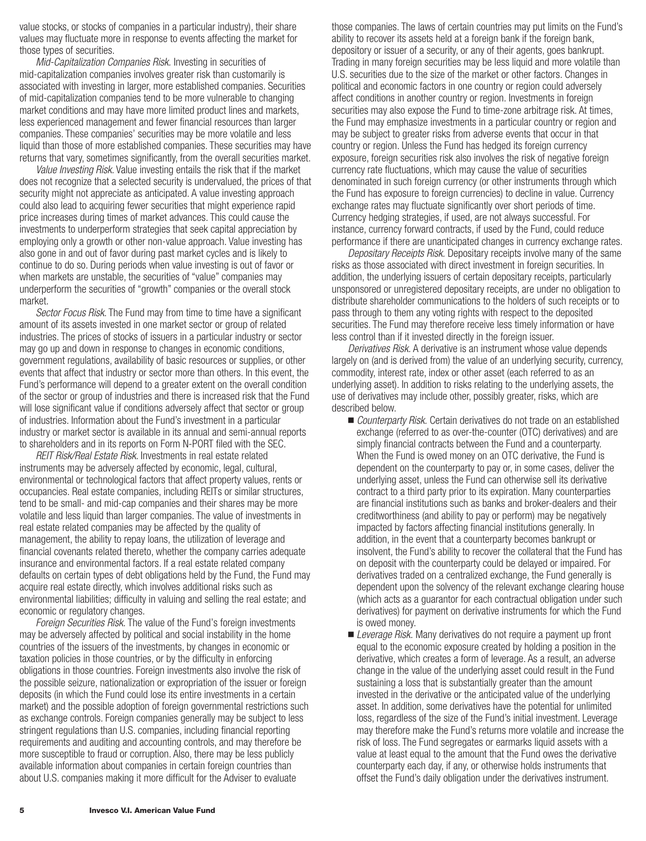value stocks, or stocks of companies in a particular industry), their share values may fluctuate more in response to events affecting the market for those types of securities.

*Mid-Capitalization Companies Risk.* Investing in securities of mid-capitalization companies involves greater risk than customarily is associated with investing in larger, more established companies. Securities of mid-capitalization companies tend to be more vulnerable to changing market conditions and may have more limited product lines and markets, less experienced management and fewer financial resources than larger companies. These companies' securities may be more volatile and less liquid than those of more established companies. These securities may have returns that vary, sometimes significantly, from the overall securities market.

*Value Investing Risk*. Value investing entails the risk that if the market does not recognize that a selected security is undervalued, the prices of that security might not appreciate as anticipated. A value investing approach could also lead to acquiring fewer securities that might experience rapid price increases during times of market advances. This could cause the investments to underperform strategies that seek capital appreciation by employing only a growth or other non-value approach. Value investing has also gone in and out of favor during past market cycles and is likely to continue to do so. During periods when value investing is out of favor or when markets are unstable, the securities of "value" companies may underperform the securities of "growth" companies or the overall stock market.

*Sector Focus Risk*. The Fund may from time to time have a significant amount of its assets invested in one market sector or group of related industries. The prices of stocks of issuers in a particular industry or sector may go up and down in response to changes in economic conditions, government regulations, availability of basic resources or supplies, or other events that affect that industry or sector more than others. In this event, the Fund's performance will depend to a greater extent on the overall condition of the sector or group of industries and there is increased risk that the Fund will lose significant value if conditions adversely affect that sector or group of industries. Information about the Fund's investment in a particular industry or market sector is available in its annual and semi-annual reports to shareholders and in its reports on Form N-PORT filed with the SEC.

*REIT Risk/Real Estate Risk.* Investments in real estate related instruments may be adversely affected by economic, legal, cultural, environmental or technological factors that affect property values, rents or occupancies. Real estate companies, including REITs or similar structures, tend to be small- and mid-cap companies and their shares may be more volatile and less liquid than larger companies. The value of investments in real estate related companies may be affected by the quality of management, the ability to repay loans, the utilization of leverage and financial covenants related thereto, whether the company carries adequate insurance and environmental factors. If a real estate related company defaults on certain types of debt obligations held by the Fund, the Fund may acquire real estate directly, which involves additional risks such as environmental liabilities; difficulty in valuing and selling the real estate; and economic or regulatory changes.

*Foreign Securities Risk.* The value of the Fund's foreign investments may be adversely affected by political and social instability in the home countries of the issuers of the investments, by changes in economic or taxation policies in those countries, or by the difficulty in enforcing obligations in those countries. Foreign investments also involve the risk of the possible seizure, nationalization or expropriation of the issuer or foreign deposits (in which the Fund could lose its entire investments in a certain market) and the possible adoption of foreign governmental restrictions such as exchange controls. Foreign companies generally may be subject to less stringent regulations than U.S. companies, including financial reporting requirements and auditing and accounting controls, and may therefore be more susceptible to fraud or corruption. Also, there may be less publicly available information about companies in certain foreign countries than about U.S. companies making it more difficult for the Adviser to evaluate

those companies. The laws of certain countries may put limits on the Fund's ability to recover its assets held at a foreign bank if the foreign bank, depository or issuer of a security, or any of their agents, goes bankrupt. Trading in many foreign securities may be less liquid and more volatile than U.S. securities due to the size of the market or other factors. Changes in political and economic factors in one country or region could adversely affect conditions in another country or region. Investments in foreign securities may also expose the Fund to time-zone arbitrage risk. At times, the Fund may emphasize investments in a particular country or region and may be subject to greater risks from adverse events that occur in that country or region. Unless the Fund has hedged its foreign currency exposure, foreign securities risk also involves the risk of negative foreign currency rate fluctuations, which may cause the value of securities denominated in such foreign currency (or other instruments through which the Fund has exposure to foreign currencies) to decline in value. Currency exchange rates may fluctuate significantly over short periods of time. Currency hedging strategies, if used, are not always successful. For instance, currency forward contracts, if used by the Fund, could reduce performance if there are unanticipated changes in currency exchange rates.

*Depositary Receipts Risk.* Depositary receipts involve many of the same risks as those associated with direct investment in foreign securities. In addition, the underlying issuers of certain depositary receipts, particularly unsponsored or unregistered depositary receipts, are under no obligation to distribute shareholder communications to the holders of such receipts or to pass through to them any voting rights with respect to the deposited securities. The Fund may therefore receive less timely information or have less control than if it invested directly in the foreign issuer.

*Derivatives Risk.* A derivative is an instrument whose value depends largely on (and is derived from) the value of an underlying security, currency, commodity, interest rate, index or other asset (each referred to as an underlying asset). In addition to risks relating to the underlying assets, the use of derivatives may include other, possibly greater, risks, which are described below.

- *Counterparty Risk.* Certain derivatives do not trade on an established exchange (referred to as over-the-counter (OTC) derivatives) and are simply financial contracts between the Fund and a counterparty. When the Fund is owed money on an OTC derivative, the Fund is dependent on the counterparty to pay or, in some cases, deliver the underlying asset, unless the Fund can otherwise sell its derivative contract to a third party prior to its expiration. Many counterparties are financial institutions such as banks and broker-dealers and their creditworthiness (and ability to pay or perform) may be negatively impacted by factors affecting financial institutions generally. In addition, in the event that a counterparty becomes bankrupt or insolvent, the Fund's ability to recover the collateral that the Fund has on deposit with the counterparty could be delayed or impaired. For derivatives traded on a centralized exchange, the Fund generally is dependent upon the solvency of the relevant exchange clearing house (which acts as a guarantor for each contractual obligation under such derivatives) for payment on derivative instruments for which the Fund is owed money.
- *Leverage Risk.* Many derivatives do not require a payment up front equal to the economic exposure created by holding a position in the derivative, which creates a form of leverage. As a result, an adverse change in the value of the underlying asset could result in the Fund sustaining a loss that is substantially greater than the amount invested in the derivative or the anticipated value of the underlying asset. In addition, some derivatives have the potential for unlimited loss, regardless of the size of the Fund's initial investment. Leverage may therefore make the Fund's returns more volatile and increase the risk of loss. The Fund segregates or earmarks liquid assets with a value at least equal to the amount that the Fund owes the derivative counterparty each day, if any, or otherwise holds instruments that offset the Fund's daily obligation under the derivatives instrument.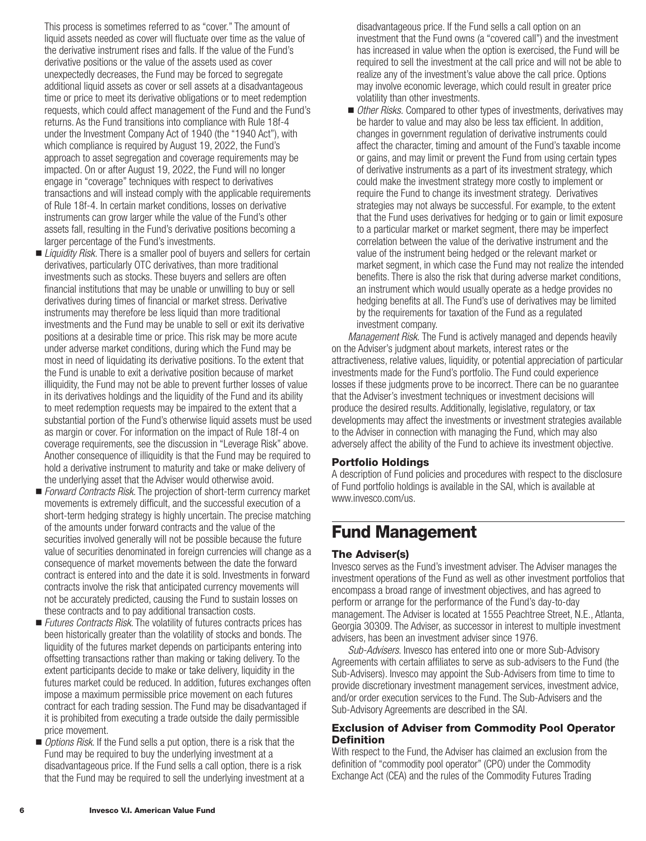<span id="page-7-0"></span>This process is sometimes referred to as "cover." The amount of liquid assets needed as cover will fluctuate over time as the value of the derivative instrument rises and falls. If the value of the Fund's derivative positions or the value of the assets used as cover unexpectedly decreases, the Fund may be forced to segregate additional liquid assets as cover or sell assets at a disadvantageous time or price to meet its derivative obligations or to meet redemption requests, which could affect management of the Fund and the Fund's returns. As the Fund transitions into compliance with Rule 18f-4 under the Investment Company Act of 1940 (the "1940 Act"), with which compliance is required by August 19, 2022, the Fund's approach to asset segregation and coverage requirements may be impacted. On or after August 19, 2022, the Fund will no longer engage in "coverage" techniques with respect to derivatives transactions and will instead comply with the applicable requirements of Rule 18f-4. In certain market conditions, losses on derivative instruments can grow larger while the value of the Fund's other assets fall, resulting in the Fund's derivative positions becoming a larger percentage of the Fund's investments.

- *Liquidity Risk*. There is a smaller pool of buyers and sellers for certain derivatives, particularly OTC derivatives, than more traditional investments such as stocks. These buyers and sellers are often financial institutions that may be unable or unwilling to buy or sell derivatives during times of financial or market stress. Derivative instruments may therefore be less liquid than more traditional investments and the Fund may be unable to sell or exit its derivative positions at a desirable time or price. This risk may be more acute under adverse market conditions, during which the Fund may be most in need of liquidating its derivative positions. To the extent that the Fund is unable to exit a derivative position because of market illiquidity, the Fund may not be able to prevent further losses of value in its derivatives holdings and the liquidity of the Fund and its ability to meet redemption requests may be impaired to the extent that a substantial portion of the Fund's otherwise liquid assets must be used as margin or cover. For information on the impact of Rule 18f-4 on coverage requirements, see the discussion in "Leverage Risk" above. Another consequence of illiquidity is that the Fund may be required to hold a derivative instrument to maturity and take or make delivery of the underlying asset that the Adviser would otherwise avoid.
- *Forward Contracts Risk*. The projection of short-term currency market movements is extremely difficult, and the successful execution of a short-term hedging strategy is highly uncertain. The precise matching of the amounts under forward contracts and the value of the securities involved generally will not be possible because the future value of securities denominated in foreign currencies will change as a consequence of market movements between the date the forward contract is entered into and the date it is sold. Investments in forward contracts involve the risk that anticipated currency movements will not be accurately predicted, causing the Fund to sustain losses on these contracts and to pay additional transaction costs.
- *Futures Contracts Risk*. The volatility of futures contracts prices has been historically greater than the volatility of stocks and bonds. The liquidity of the futures market depends on participants entering into offsetting transactions rather than making or taking delivery. To the extent participants decide to make or take delivery, liquidity in the futures market could be reduced. In addition, futures exchanges often impose a maximum permissible price movement on each futures contract for each trading session. The Fund may be disadvantaged if it is prohibited from executing a trade outside the daily permissible price movement.
- **D** Options Risk. If the Fund sells a put option, there is a risk that the Fund may be required to buy the underlying investment at a disadvantageous price. If the Fund sells a call option, there is a risk that the Fund may be required to sell the underlying investment at a

disadvantageous price. If the Fund sells a call option on an investment that the Fund owns (a "covered call") and the investment has increased in value when the option is exercised, the Fund will be required to sell the investment at the call price and will not be able to realize any of the investment's value above the call price. Options may involve economic leverage, which could result in greater price volatility than other investments.

■ *Other Risks.* Compared to other types of investments, derivatives may be harder to value and may also be less tax efficient. In addition, changes in government regulation of derivative instruments could affect the character, timing and amount of the Fund's taxable income or gains, and may limit or prevent the Fund from using certain types of derivative instruments as a part of its investment strategy, which could make the investment strategy more costly to implement or require the Fund to change its investment strategy. Derivatives strategies may not always be successful. For example, to the extent that the Fund uses derivatives for hedging or to gain or limit exposure to a particular market or market segment, there may be imperfect correlation between the value of the derivative instrument and the value of the instrument being hedged or the relevant market or market segment, in which case the Fund may not realize the intended benefits. There is also the risk that during adverse market conditions, an instrument which would usually operate as a hedge provides no hedging benefits at all. The Fund's use of derivatives may be limited by the requirements for taxation of the Fund as a regulated investment company.

*Management Risk.* The Fund is actively managed and depends heavily on the Adviser's judgment about markets, interest rates or the attractiveness, relative values, liquidity, or potential appreciation of particular investments made for the Fund's portfolio. The Fund could experience losses if these judgments prove to be incorrect. There can be no guarantee that the Adviser's investment techniques or investment decisions will produce the desired results. Additionally, legislative, regulatory, or tax developments may affect the investments or investment strategies available to the Adviser in connection with managing the Fund, which may also adversely affect the ability of the Fund to achieve its investment objective.

## **Portfolio Holdings**

A description of Fund policies and procedures with respect to the disclosure of Fund portfolio holdings is available in the SAI, which is available at www.invesco.com/us.

## **Fund Management**

## **The Adviser(s)**

Invesco serves as the Fund's investment adviser. The Adviser manages the investment operations of the Fund as well as other investment portfolios that encompass a broad range of investment objectives, and has agreed to perform or arrange for the performance of the Fund's day-to-day management. The Adviser is located at 1555 Peachtree Street, N.E., Atlanta, Georgia 30309. The Adviser, as successor in interest to multiple investment advisers, has been an investment adviser since 1976.

*Sub-Advisers*. Invesco has entered into one or more Sub-Advisory Agreements with certain affiliates to serve as sub-advisers to the Fund (the Sub-Advisers). Invesco may appoint the Sub-Advisers from time to time to provide discretionary investment management services, investment advice, and/or order execution services to the Fund. The Sub-Advisers and the Sub-Advisory Agreements are described in the SAI.

### **Exclusion of Adviser from Commodity Pool Operator Definition**

With respect to the Fund, the Adviser has claimed an exclusion from the definition of "commodity pool operator" (CPO) under the Commodity Exchange Act (CEA) and the rules of the Commodity Futures Trading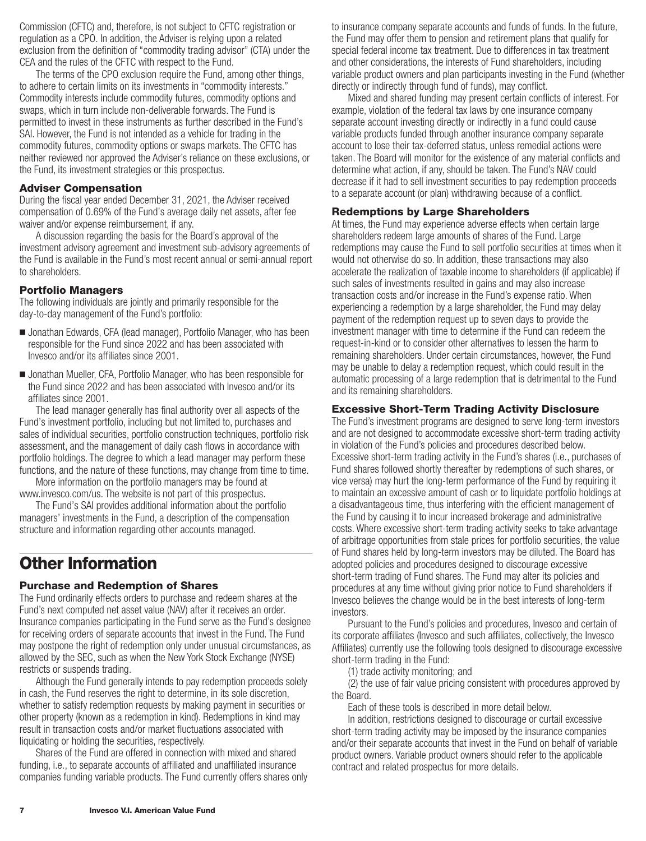<span id="page-8-0"></span>Commission (CFTC) and, therefore, is not subject to CFTC registration or regulation as a CPO. In addition, the Adviser is relying upon a related exclusion from the definition of "commodity trading advisor" (CTA) under the CEA and the rules of the CFTC with respect to the Fund.

The terms of the CPO exclusion require the Fund, among other things, to adhere to certain limits on its investments in "commodity interests." Commodity interests include commodity futures, commodity options and swaps, which in turn include non-deliverable forwards. The Fund is permitted to invest in these instruments as further described in the Fund's SAI. However, the Fund is not intended as a vehicle for trading in the commodity futures, commodity options or swaps markets. The CFTC has neither reviewed nor approved the Adviser's reliance on these exclusions, or the Fund, its investment strategies or this prospectus.

### **Adviser Compensation**

During the fiscal year ended December 31, 2021, the Adviser received compensation of 0.69% of the Fund's average daily net assets, after fee waiver and/or expense reimbursement, if any.

A discussion regarding the basis for the Board's approval of the investment advisory agreement and investment sub-advisory agreements of the Fund is available in the Fund's most recent annual or semi-annual report to shareholders.

### **Portfolio Managers**

The following individuals are jointly and primarily responsible for the day-to-day management of the Fund's portfolio:

- Jonathan Edwards, CFA (lead manager), Portfolio Manager, who has been responsible for the Fund since 2022 and has been associated with Invesco and/or its affiliates since 2001.
- Jonathan Mueller, CFA, Portfolio Manager, who has been responsible for the Fund since 2022 and has been associated with Invesco and/or its affiliates since 2001.

The lead manager generally has final authority over all aspects of the Fund's investment portfolio, including but not limited to, purchases and sales of individual securities, portfolio construction techniques, portfolio risk assessment, and the management of daily cash flows in accordance with portfolio holdings. The degree to which a lead manager may perform these functions, and the nature of these functions, may change from time to time.

More information on the portfolio managers may be found at www.invesco.com/us. The website is not part of this prospectus.

The Fund's SAI provides additional information about the portfolio managers' investments in the Fund, a description of the compensation structure and information regarding other accounts managed.

## **Other Information**

## **Purchase and Redemption of Shares**

The Fund ordinarily effects orders to purchase and redeem shares at the Fund's next computed net asset value (NAV) after it receives an order. Insurance companies participating in the Fund serve as the Fund's designee for receiving orders of separate accounts that invest in the Fund. The Fund may postpone the right of redemption only under unusual circumstances, as allowed by the SEC, such as when the New York Stock Exchange (NYSE) restricts or suspends trading.

Although the Fund generally intends to pay redemption proceeds solely in cash, the Fund reserves the right to determine, in its sole discretion, whether to satisfy redemption requests by making payment in securities or other property (known as a redemption in kind). Redemptions in kind may result in transaction costs and/or market fluctuations associated with liquidating or holding the securities, respectively.

Shares of the Fund are offered in connection with mixed and shared funding, i.e., to separate accounts of affiliated and unaffiliated insurance companies funding variable products. The Fund currently offers shares only to insurance company separate accounts and funds of funds. In the future, the Fund may offer them to pension and retirement plans that qualify for special federal income tax treatment. Due to differences in tax treatment and other considerations, the interests of Fund shareholders, including variable product owners and plan participants investing in the Fund (whether directly or indirectly through fund of funds), may conflict.

Mixed and shared funding may present certain conflicts of interest. For example, violation of the federal tax laws by one insurance company separate account investing directly or indirectly in a fund could cause variable products funded through another insurance company separate account to lose their tax-deferred status, unless remedial actions were taken. The Board will monitor for the existence of any material conflicts and determine what action, if any, should be taken. The Fund's NAV could decrease if it had to sell investment securities to pay redemption proceeds to a separate account (or plan) withdrawing because of a conflict.

### **Redemptions by Large Shareholders**

At times, the Fund may experience adverse effects when certain large shareholders redeem large amounts of shares of the Fund. Large redemptions may cause the Fund to sell portfolio securities at times when it would not otherwise do so. In addition, these transactions may also accelerate the realization of taxable income to shareholders (if applicable) if such sales of investments resulted in gains and may also increase transaction costs and/or increase in the Fund's expense ratio. When experiencing a redemption by a large shareholder, the Fund may delay payment of the redemption request up to seven days to provide the investment manager with time to determine if the Fund can redeem the request-in-kind or to consider other alternatives to lessen the harm to remaining shareholders. Under certain circumstances, however, the Fund may be unable to delay a redemption request, which could result in the automatic processing of a large redemption that is detrimental to the Fund and its remaining shareholders.

### **Excessive Short-Term Trading Activity Disclosure**

The Fund's investment programs are designed to serve long-term investors and are not designed to accommodate excessive short-term trading activity in violation of the Fund's policies and procedures described below. Excessive short-term trading activity in the Fund's shares (i.e., purchases of Fund shares followed shortly thereafter by redemptions of such shares, or vice versa) may hurt the long-term performance of the Fund by requiring it to maintain an excessive amount of cash or to liquidate portfolio holdings at a disadvantageous time, thus interfering with the efficient management of the Fund by causing it to incur increased brokerage and administrative costs. Where excessive short-term trading activity seeks to take advantage of arbitrage opportunities from stale prices for portfolio securities, the value of Fund shares held by long-term investors may be diluted. The Board has adopted policies and procedures designed to discourage excessive short-term trading of Fund shares. The Fund may alter its policies and procedures at any time without giving prior notice to Fund shareholders if Invesco believes the change would be in the best interests of long-term investors.

Pursuant to the Fund's policies and procedures, Invesco and certain of its corporate affiliates (Invesco and such affiliates, collectively, the Invesco Affiliates) currently use the following tools designed to discourage excessive short-term trading in the Fund:

(1) trade activity monitoring; and

(2) the use of fair value pricing consistent with procedures approved by the Board.

Each of these tools is described in more detail below.

In addition, restrictions designed to discourage or curtail excessive short-term trading activity may be imposed by the insurance companies and/or their separate accounts that invest in the Fund on behalf of variable product owners. Variable product owners should refer to the applicable contract and related prospectus for more details.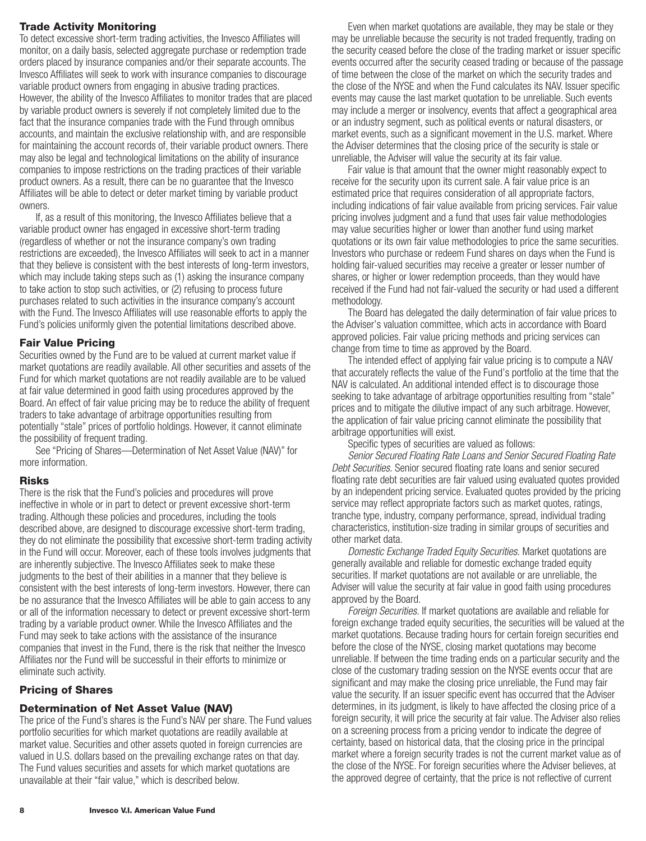## <span id="page-9-0"></span>**Trade Activity Monitoring**

To detect excessive short-term trading activities, the Invesco Affiliates will monitor, on a daily basis, selected aggregate purchase or redemption trade orders placed by insurance companies and/or their separate accounts. The Invesco Affiliates will seek to work with insurance companies to discourage variable product owners from engaging in abusive trading practices. However, the ability of the Invesco Affiliates to monitor trades that are placed by variable product owners is severely if not completely limited due to the fact that the insurance companies trade with the Fund through omnibus accounts, and maintain the exclusive relationship with, and are responsible for maintaining the account records of, their variable product owners. There may also be legal and technological limitations on the ability of insurance companies to impose restrictions on the trading practices of their variable product owners. As a result, there can be no guarantee that the Invesco Affiliates will be able to detect or deter market timing by variable product owners.

If, as a result of this monitoring, the Invesco Affiliates believe that a variable product owner has engaged in excessive short-term trading (regardless of whether or not the insurance company's own trading restrictions are exceeded), the Invesco Affiliates will seek to act in a manner that they believe is consistent with the best interests of long-term investors, which may include taking steps such as (1) asking the insurance company to take action to stop such activities, or (2) refusing to process future purchases related to such activities in the insurance company's account with the Fund. The Invesco Affiliates will use reasonable efforts to apply the Fund's policies uniformly given the potential limitations described above.

## **Fair Value Pricing**

Securities owned by the Fund are to be valued at current market value if market quotations are readily available. All other securities and assets of the Fund for which market quotations are not readily available are to be valued at fair value determined in good faith using procedures approved by the Board. An effect of fair value pricing may be to reduce the ability of frequent traders to take advantage of arbitrage opportunities resulting from potentially "stale" prices of portfolio holdings. However, it cannot eliminate the possibility of frequent trading.

See "Pricing of Shares—Determination of Net Asset Value (NAV)" for more information.

## **Risks**

There is the risk that the Fund's policies and procedures will prove ineffective in whole or in part to detect or prevent excessive short-term trading. Although these policies and procedures, including the tools described above, are designed to discourage excessive short-term trading, they do not eliminate the possibility that excessive short-term trading activity in the Fund will occur. Moreover, each of these tools involves judgments that are inherently subjective. The Invesco Affiliates seek to make these judgments to the best of their abilities in a manner that they believe is consistent with the best interests of long-term investors. However, there can be no assurance that the Invesco Affiliates will be able to gain access to any or all of the information necessary to detect or prevent excessive short-term trading by a variable product owner. While the Invesco Affiliates and the Fund may seek to take actions with the assistance of the insurance companies that invest in the Fund, there is the risk that neither the Invesco Affiliates nor the Fund will be successful in their efforts to minimize or eliminate such activity.

## **Pricing of Shares**

## **Determination of Net Asset Value (NAV)**

The price of the Fund's shares is the Fund's NAV per share. The Fund values portfolio securities for which market quotations are readily available at market value. Securities and other assets quoted in foreign currencies are valued in U.S. dollars based on the prevailing exchange rates on that day. The Fund values securities and assets for which market quotations are unavailable at their "fair value," which is described below.

Even when market quotations are available, they may be stale or they may be unreliable because the security is not traded frequently, trading on the security ceased before the close of the trading market or issuer specific events occurred after the security ceased trading or because of the passage of time between the close of the market on which the security trades and the close of the NYSE and when the Fund calculates its NAV. Issuer specific events may cause the last market quotation to be unreliable. Such events may include a merger or insolvency, events that affect a geographical area or an industry segment, such as political events or natural disasters, or market events, such as a significant movement in the U.S. market. Where the Adviser determines that the closing price of the security is stale or unreliable, the Adviser will value the security at its fair value.

Fair value is that amount that the owner might reasonably expect to receive for the security upon its current sale. A fair value price is an estimated price that requires consideration of all appropriate factors, including indications of fair value available from pricing services. Fair value pricing involves judgment and a fund that uses fair value methodologies may value securities higher or lower than another fund using market quotations or its own fair value methodologies to price the same securities. Investors who purchase or redeem Fund shares on days when the Fund is holding fair-valued securities may receive a greater or lesser number of shares, or higher or lower redemption proceeds, than they would have received if the Fund had not fair-valued the security or had used a different methodology.

The Board has delegated the daily determination of fair value prices to the Adviser's valuation committee, which acts in accordance with Board approved policies. Fair value pricing methods and pricing services can change from time to time as approved by the Board.

The intended effect of applying fair value pricing is to compute a NAV that accurately reflects the value of the Fund's portfolio at the time that the NAV is calculated. An additional intended effect is to discourage those seeking to take advantage of arbitrage opportunities resulting from "stale" prices and to mitigate the dilutive impact of any such arbitrage. However, the application of fair value pricing cannot eliminate the possibility that arbitrage opportunities will exist.

Specific types of securities are valued as follows:

*Senior Secured Floating Rate Loans and Senior Secured Floating Rate Debt Securities.* Senior secured floating rate loans and senior secured floating rate debt securities are fair valued using evaluated quotes provided by an independent pricing service. Evaluated quotes provided by the pricing service may reflect appropriate factors such as market quotes, ratings, tranche type, industry, company performance, spread, individual trading characteristics, institution-size trading in similar groups of securities and other market data.

*Domestic Exchange Traded Equity Securities.* Market quotations are generally available and reliable for domestic exchange traded equity securities. If market quotations are not available or are unreliable, the Adviser will value the security at fair value in good faith using procedures approved by the Board.

*Foreign Securities.* If market quotations are available and reliable for foreign exchange traded equity securities, the securities will be valued at the market quotations. Because trading hours for certain foreign securities end before the close of the NYSE, closing market quotations may become unreliable. If between the time trading ends on a particular security and the close of the customary trading session on the NYSE events occur that are significant and may make the closing price unreliable, the Fund may fair value the security. If an issuer specific event has occurred that the Adviser determines, in its judgment, is likely to have affected the closing price of a foreign security, it will price the security at fair value. The Adviser also relies on a screening process from a pricing vendor to indicate the degree of certainty, based on historical data, that the closing price in the principal market where a foreign security trades is not the current market value as of the close of the NYSE. For foreign securities where the Adviser believes, at the approved degree of certainty, that the price is not reflective of current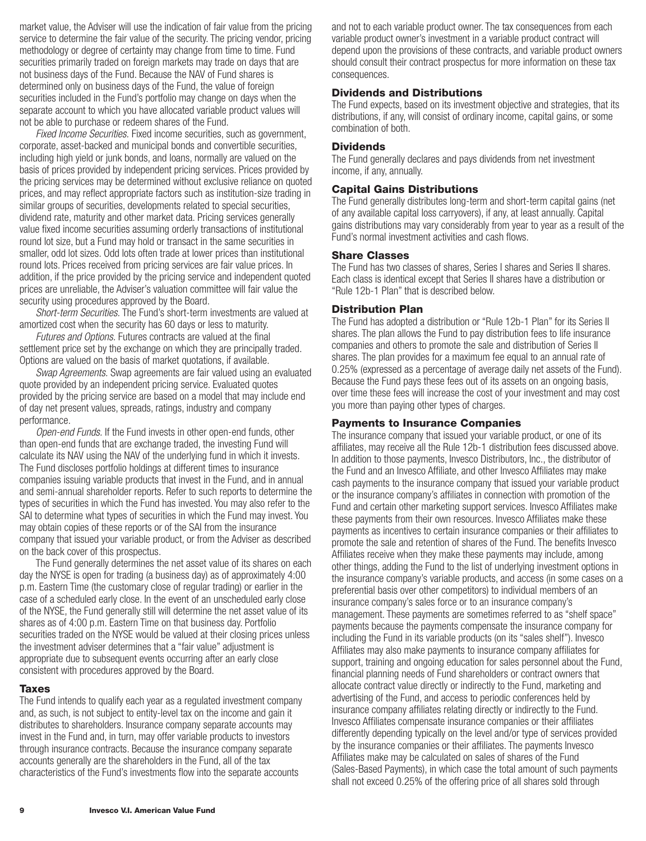<span id="page-10-0"></span>market value, the Adviser will use the indication of fair value from the pricing service to determine the fair value of the security. The pricing vendor, pricing methodology or degree of certainty may change from time to time. Fund securities primarily traded on foreign markets may trade on days that are not business days of the Fund. Because the NAV of Fund shares is determined only on business days of the Fund, the value of foreign securities included in the Fund's portfolio may change on days when the separate account to which you have allocated variable product values will not be able to purchase or redeem shares of the Fund.

*Fixed Income Securities.* Fixed income securities, such as government, corporate, asset-backed and municipal bonds and convertible securities, including high yield or junk bonds, and loans, normally are valued on the basis of prices provided by independent pricing services. Prices provided by the pricing services may be determined without exclusive reliance on quoted prices, and may reflect appropriate factors such as institution-size trading in similar groups of securities, developments related to special securities, dividend rate, maturity and other market data. Pricing services generally value fixed income securities assuming orderly transactions of institutional round lot size, but a Fund may hold or transact in the same securities in smaller, odd lot sizes. Odd lots often trade at lower prices than institutional round lots. Prices received from pricing services are fair value prices. In addition, if the price provided by the pricing service and independent quoted prices are unreliable, the Adviser's valuation committee will fair value the security using procedures approved by the Board.

*Short-term Securities.* The Fund's short-term investments are valued at amortized cost when the security has 60 days or less to maturity.

*Futures and Options.* Futures contracts are valued at the final settlement price set by the exchange on which they are principally traded. Options are valued on the basis of market quotations, if available.

*Swap Agreements.* Swap agreements are fair valued using an evaluated quote provided by an independent pricing service. Evaluated quotes provided by the pricing service are based on a model that may include end of day net present values, spreads, ratings, industry and company performance.

*Open-end Funds.* If the Fund invests in other open-end funds, other than open-end funds that are exchange traded, the investing Fund will calculate its NAV using the NAV of the underlying fund in which it invests. The Fund discloses portfolio holdings at different times to insurance companies issuing variable products that invest in the Fund, and in annual and semi-annual shareholder reports. Refer to such reports to determine the types of securities in which the Fund has invested. You may also refer to the SAI to determine what types of securities in which the Fund may invest. You may obtain copies of these reports or of the SAI from the insurance company that issued your variable product, or from the Adviser as described on the back cover of this prospectus.

The Fund generally determines the net asset value of its shares on each day the NYSE is open for trading (a business day) as of approximately 4:00 p.m. Eastern Time (the customary close of regular trading) or earlier in the case of a scheduled early close. In the event of an unscheduled early close of the NYSE, the Fund generally still will determine the net asset value of its shares as of 4:00 p.m. Eastern Time on that business day. Portfolio securities traded on the NYSE would be valued at their closing prices unless the investment adviser determines that a "fair value" adjustment is appropriate due to subsequent events occurring after an early close consistent with procedures approved by the Board.

#### **Taxes**

The Fund intends to qualify each year as a regulated investment company and, as such, is not subject to entity-level tax on the income and gain it distributes to shareholders. Insurance company separate accounts may invest in the Fund and, in turn, may offer variable products to investors through insurance contracts. Because the insurance company separate accounts generally are the shareholders in the Fund, all of the tax characteristics of the Fund's investments flow into the separate accounts

and not to each variable product owner. The tax consequences from each variable product owner's investment in a variable product contract will depend upon the provisions of these contracts, and variable product owners should consult their contract prospectus for more information on these tax consequences.

## **Dividends and Distributions**

The Fund expects, based on its investment objective and strategies, that its distributions, if any, will consist of ordinary income, capital gains, or some combination of both.

#### **Dividends**

The Fund generally declares and pays dividends from net investment income, if any, annually.

#### **Capital Gains Distributions**

The Fund generally distributes long-term and short-term capital gains (net of any available capital loss carryovers), if any, at least annually. Capital gains distributions may vary considerably from year to year as a result of the Fund's normal investment activities and cash flows.

### **Share Classes**

The Fund has two classes of shares, Series I shares and Series II shares. Each class is identical except that Series II shares have a distribution or "Rule 12b-1 Plan" that is described below.

#### **Distribution Plan**

The Fund has adopted a distribution or "Rule 12b-1 Plan" for its Series II shares. The plan allows the Fund to pay distribution fees to life insurance companies and others to promote the sale and distribution of Series II shares. The plan provides for a maximum fee equal to an annual rate of 0.25% (expressed as a percentage of average daily net assets of the Fund). Because the Fund pays these fees out of its assets on an ongoing basis, over time these fees will increase the cost of your investment and may cost you more than paying other types of charges.

#### **Payments to Insurance Companies**

The insurance company that issued your variable product, or one of its affiliates, may receive all the Rule 12b-1 distribution fees discussed above. In addition to those payments, Invesco Distributors, Inc., the distributor of the Fund and an Invesco Affiliate, and other Invesco Affiliates may make cash payments to the insurance company that issued your variable product or the insurance company's affiliates in connection with promotion of the Fund and certain other marketing support services. Invesco Affiliates make these payments from their own resources. Invesco Affiliates make these payments as incentives to certain insurance companies or their affiliates to promote the sale and retention of shares of the Fund. The benefits Invesco Affiliates receive when they make these payments may include, among other things, adding the Fund to the list of underlying investment options in the insurance company's variable products, and access (in some cases on a preferential basis over other competitors) to individual members of an insurance company's sales force or to an insurance company's management. These payments are sometimes referred to as "shelf space" payments because the payments compensate the insurance company for including the Fund in its variable products (on its "sales shelf"). Invesco Affiliates may also make payments to insurance company affiliates for support, training and ongoing education for sales personnel about the Fund, financial planning needs of Fund shareholders or contract owners that allocate contract value directly or indirectly to the Fund, marketing and advertising of the Fund, and access to periodic conferences held by insurance company affiliates relating directly or indirectly to the Fund. Invesco Affiliates compensate insurance companies or their affiliates differently depending typically on the level and/or type of services provided by the insurance companies or their affiliates. The payments Invesco Affiliates make may be calculated on sales of shares of the Fund (Sales-Based Payments), in which case the total amount of such payments shall not exceed 0.25% of the offering price of all shares sold through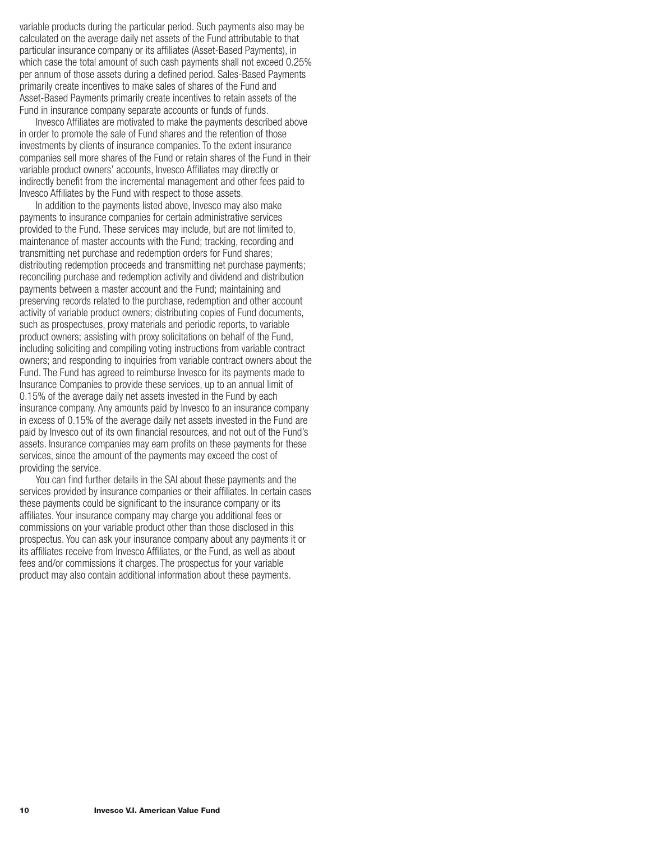variable products during the particular period. Such payments also may be calculated on the average daily net assets of the Fund attributable to that particular insurance company or its affiliates (Asset-Based Payments), in which case the total amount of such cash payments shall not exceed 0.25% per annum of those assets during a defined period. Sales-Based Payments primarily create incentives to make sales of shares of the Fund and Asset-Based Payments primarily create incentives to retain assets of the Fund in insurance company separate accounts or funds of funds.

Invesco Affiliates are motivated to make the payments described above in order to promote the sale of Fund shares and the retention of those investments by clients of insurance companies. To the extent insurance companies sell more shares of the Fund or retain shares of the Fund in their variable product owners' accounts, Invesco Affiliates may directly or indirectly benefit from the incremental management and other fees paid to Invesco Affiliates by the Fund with respect to those assets.

In addition to the payments listed above, Invesco may also make payments to insurance companies for certain administrative services provided to the Fund. These services may include, but are not limited to, maintenance of master accounts with the Fund; tracking, recording and transmitting net purchase and redemption orders for Fund shares; distributing redemption proceeds and transmitting net purchase payments; reconciling purchase and redemption activity and dividend and distribution payments between a master account and the Fund; maintaining and preserving records related to the purchase, redemption and other account activity of variable product owners; distributing copies of Fund documents, such as prospectuses, proxy materials and periodic reports, to variable product owners; assisting with proxy solicitations on behalf of the Fund, including soliciting and compiling voting instructions from variable contract owners; and responding to inquiries from variable contract owners about the Fund. The Fund has agreed to reimburse Invesco for its payments made to Insurance Companies to provide these services, up to an annual limit of 0.15% of the average daily net assets invested in the Fund by each insurance company. Any amounts paid by Invesco to an insurance company in excess of 0.15% of the average daily net assets invested in the Fund are paid by Invesco out of its own financial resources, and not out of the Fund's assets. Insurance companies may earn profits on these payments for these services, since the amount of the payments may exceed the cost of providing the service.

You can find further details in the SAI about these payments and the services provided by insurance companies or their affiliates. In certain cases these payments could be significant to the insurance company or its affiliates. Your insurance company may charge you additional fees or commissions on your variable product other than those disclosed in this prospectus. You can ask your insurance company about any payments it or its affiliates receive from Invesco Affiliates, or the Fund, as well as about fees and/or commissions it charges. The prospectus for your variable product may also contain additional information about these payments.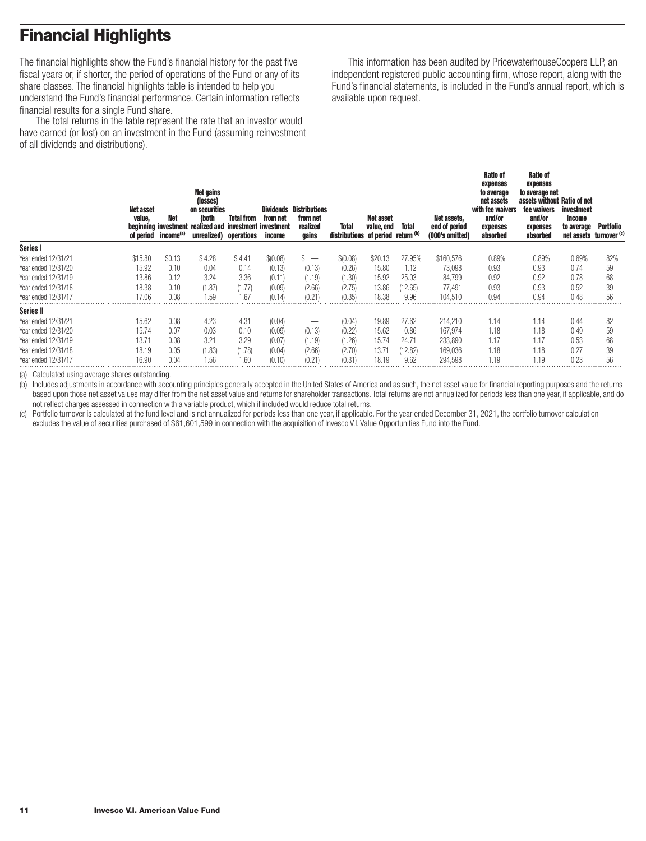# <span id="page-12-0"></span>**Financial Highlights**

The financial highlights show the Fund's financial history for the past five fiscal years or, if shorter, the period of operations of the Fund or any of its share classes. The financial highlights table is intended to help you understand the Fund's financial performance. Certain information reflects financial results for a single Fund share.

The total returns in the table represent the rate that an investor would have earned (or lost) on an investment in the Fund (assuming reinvestment of all dividends and distributions).

This information has been audited by PricewaterhouseCoopers LLP, an independent registered public accounting firm, whose report, along with the Fund's financial statements, is included in the Fund's annual report, which is available upon request.

|                     | <b>Net asset</b><br>value,<br>of period | Net<br>beginning investment<br>income <sup>(a)</sup> | Net gains<br>(losses)<br>on securities<br>(both<br>realized and<br>unrealized) operations | <b>Total from</b><br>investment investment | from net<br>income | <b>Dividends Distributions</b><br>from net<br>realized<br>gains | Total<br>distributions of period return (b) | Net asset<br>value, end | <b>Total</b> | Net assets,<br>end of period<br>(000's omitted) | <b>Ratio of</b><br>expenses<br>to average<br>net assets<br>with fee waivers<br>and/or<br>expenses<br>absorbed | Ratio of<br>expenses<br>to average net<br>assets without Ratio of net<br>fee waivers<br>and/or<br>expenses<br>absorbed | <i>investment</i><br>income<br>to average<br>net assets turnover (c) | <b>Portfolio</b> |
|---------------------|-----------------------------------------|------------------------------------------------------|-------------------------------------------------------------------------------------------|--------------------------------------------|--------------------|-----------------------------------------------------------------|---------------------------------------------|-------------------------|--------------|-------------------------------------------------|---------------------------------------------------------------------------------------------------------------|------------------------------------------------------------------------------------------------------------------------|----------------------------------------------------------------------|------------------|
| Series I            |                                         |                                                      |                                                                                           |                                            |                    |                                                                 |                                             |                         |              |                                                 |                                                                                                               |                                                                                                                        |                                                                      |                  |
| Year ended 12/31/21 | \$15.80                                 | \$0.13                                               | \$4.28                                                                                    | \$4.41                                     | \$(0.08)           | P<br>$\hspace{0.1mm}-\hspace{0.1mm}$                            | \$(0.08)                                    | \$20.13                 | 27.95%       | \$160,576                                       | 0.89%                                                                                                         | 0.89%                                                                                                                  | 0.69%                                                                | 82%              |
| Year ended 12/31/20 | 15.92                                   | 0.10                                                 | 0.04                                                                                      | 0.14                                       | (0.13)             | (0.13)                                                          | (0.26)                                      | 15.80                   | 1.12         | 73.098                                          | 0.93                                                                                                          | 0.93                                                                                                                   | 0.74                                                                 | 59               |
| Year ended 12/31/19 | 13.86                                   | 0.12                                                 | 3.24                                                                                      | 3.36                                       | (0.11)             | (1.19)                                                          | (1.30)                                      | 15.92                   | 25.03        | 84,799                                          | 0.92                                                                                                          | 0.92                                                                                                                   | 0.78                                                                 | 68               |
| Year ended 12/31/18 | 18.38                                   | 0.10                                                 | (1.87)                                                                                    | (1.77)                                     | (0.09)             | (2.66)                                                          | (2.75)                                      | 13.86                   | (12.65)      | 77,491                                          | 0.93                                                                                                          | 0.93                                                                                                                   | 0.52                                                                 | 39               |
| Year ended 12/31/17 | 17.06                                   | 0.08                                                 | 1.59                                                                                      | .67                                        | (0.14)             | (0.21)                                                          | (0.35)                                      | 18.38                   | 9.96         | 104.510                                         | 0.94                                                                                                          | 0.94                                                                                                                   | 0.48                                                                 | 56               |
| Series II           |                                         |                                                      |                                                                                           |                                            |                    |                                                                 |                                             |                         |              |                                                 |                                                                                                               |                                                                                                                        |                                                                      |                  |
| Year ended 12/31/21 | 15.62                                   | 0.08                                                 | 4.23                                                                                      | 4.31                                       | (0.04)             | –                                                               | (0.04)                                      | 19.89                   | 27.62        | 214,210                                         | 1.14                                                                                                          | 1.14                                                                                                                   | 0.44                                                                 | 82               |
| Year ended 12/31/20 | 15.74                                   | 0.07                                                 | 0.03                                                                                      | 0.10                                       | (0.09)             | (0.13)                                                          | (0.22)                                      | 15.62                   | 0.86         | 167,974                                         | 1.18                                                                                                          | 1.18                                                                                                                   | 0.49                                                                 | 59               |
| Year ended 12/31/19 | 13.71                                   | 0.08                                                 | 3.21                                                                                      | 3.29                                       | (0.07)             | (1.19)                                                          | (1.26)                                      | 15.74                   | 24.71        | 233,890                                         | 1.17                                                                                                          | 1.17                                                                                                                   | 0.53                                                                 | 68               |
| Year ended 12/31/18 | 18.19                                   | 0.05                                                 | (1.83)                                                                                    | (1.78)                                     | (0.04)             | (2.66)                                                          | (2.70)                                      | $13.7^{\circ}$          | (12.82)      | 169,036                                         | 1.18                                                                                                          | 1.18                                                                                                                   | 0.27                                                                 | 39               |
| Year ended 12/31/17 | 16.90                                   | 0.04                                                 | 1.56                                                                                      | 1.60                                       | (0.10)             | (0.21)                                                          | (0.31)                                      | 18.19                   | 9.62         | 294.598                                         | 1.19                                                                                                          | 1.19                                                                                                                   | 0.23                                                                 | 56               |

(a) Calculated using average shares outstanding.

(b) Includes adjustments in accordance with accounting principles generally accepted in the United States of America and as such, the net asset value for financial reporting purposes and the returns based upon those net asset values may differ from the net asset value and returns for shareholder transactions. Total returns are not annualized for periods less than one year, if applicable, and do not reflect charges assessed in connection with a variable product, which if included would reduce total returns.

(c) Portfolio turnover is calculated at the fund level and is not annualized for periods less than one year, if applicable. For the year ended December 31, 2021, the portfolio turnover calculation excludes the value of securities purchased of \$61,601,599 in connection with the acquisition of Invesco V.I. Value Opportunities Fund into the Fund.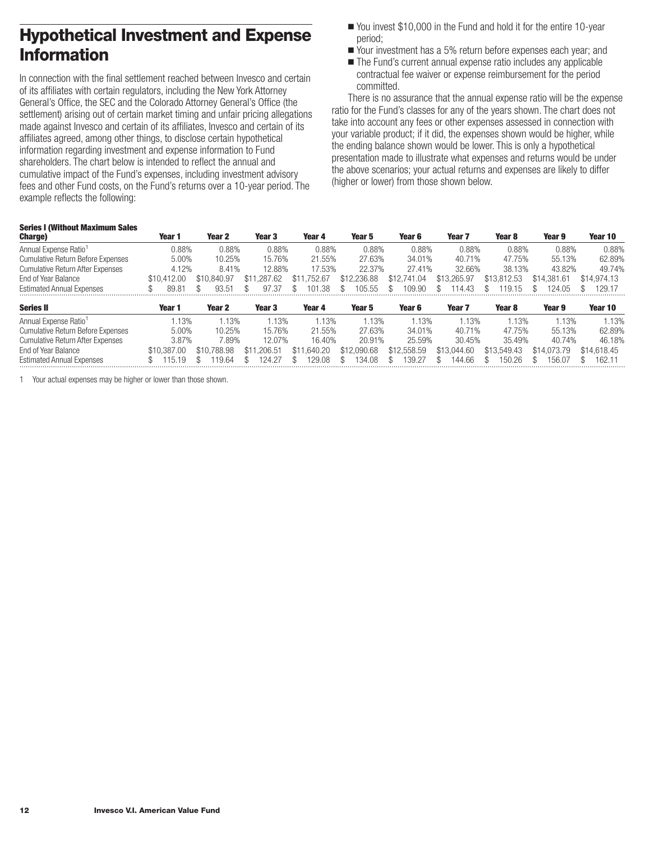# <span id="page-13-0"></span>**Hypothetical Investment and Expense Information**

In connection with the final settlement reached between Invesco and certain of its affiliates with certain regulators, including the New York Attorney General's Office, the SEC and the Colorado Attorney General's Office (the settlement) arising out of certain market timing and unfair pricing allegations made against Invesco and certain of its affiliates, Invesco and certain of its affiliates agreed, among other things, to disclose certain hypothetical information regarding investment and expense information to Fund shareholders. The chart below is intended to reflect the annual and cumulative impact of the Fund's expenses, including investment advisory fees and other Fund costs, on the Fund's returns over a 10-year period. The example reflects the following:

- You invest \$10,000 in the Fund and hold it for the entire 10-year period;
- Your investment has a 5% return before expenses each year; and
- The Fund's current annual expense ratio includes any applicable contractual fee waiver or expense reimbursement for the period committed.

There is no assurance that the annual expense ratio will be the expense ratio for the Fund's classes for any of the years shown. The chart does not take into account any fees or other expenses assessed in connection with your variable product; if it did, the expenses shown would be higher, while the ending balance shown would be lower. This is only a hypothetical presentation made to illustrate what expenses and returns would be under the above scenarios; your actual returns and expenses are likely to differ (higher or lower) from those shown below.

#### **Series I (Without Maximum Sales**

| <b>Charge</b> )                          | Year 1      | Year 2            | Year 3      | Year 4      | Year 5      | Year 6      | Year 7            | Year 8      | Year 9      | Year 10     |
|------------------------------------------|-------------|-------------------|-------------|-------------|-------------|-------------|-------------------|-------------|-------------|-------------|
| Annual Expense Ratio <sup>1</sup>        | 0.88%       | 0.88%             | 0.88%       | 0.88%       | 0.88%       | 0.88%       | 0.88%             | 0.88%       | 0.88%       | 0.88%       |
| <b>Cumulative Return Before Expenses</b> | 5.00%       | 10.25%            | 15.76%      | 21.55%      | 27.63%      | 34.01%      | 40.71%            | 47.75%      | 55.13%      | 62.89%      |
| <b>Cumulative Return After Expenses</b>  | 4.12%       | 8.41%             | 12.88%      | 17.53%      | 22.37%      | 27.41%      | 32.66%            | 38.13%      | 43.82%      | 49.74%      |
| End of Year Balance                      | \$10.412.00 | \$10.840.97       | \$11,287.62 | \$11.752.67 | \$12,236.88 | \$12,741.04 | \$13,265,97       | \$13,812.53 | \$14.381.61 | \$14,974.13 |
| <b>Estimated Annual Expenses</b>         | 89.81       | 93.51             | 97.37       | 101.38      | 105.55      | 109.90      | 114.43<br>\$      | 19.15       | 124.05      | 129.17      |
| <b>Series II</b>                         | Year 1      | Year <sub>2</sub> | Year 3      | Year 4      | Year 5      | Year 6      | Year <sub>7</sub> | Year 8      | Year 9      | Year 10     |
| Annual Expense Ratio <sup>1</sup>        | .13%        | .13%              | 1.13%       | 1.13%       | .13%        | .13%        | .13%              | .13%        | .13%        | .13%        |

| Allitual Experise Ratio           |             |                         |                            |        | $.1.3\%$                                                                | 70 ت   |        |        |        |        |
|-----------------------------------|-------------|-------------------------|----------------------------|--------|-------------------------------------------------------------------------|--------|--------|--------|--------|--------|
| Cumulative Return Before Expenses | 5.00%       | 10.25%                  | 15.76%                     | 21.55% | 27.63%                                                                  | 34.01% | 40.71% | 47.75% | 55.13% | 62.89% |
| Cumulative Return After Expenses  | 8.87%       | 1.89%                   | 12.07%                     | 16.40% | 20.91%                                                                  | 25.59% | 30.45% | 35.49% | 40.74% | 46.18% |
| End of Year Balance               | \$10.387.00 | \$10.788.98             | \$11.206.51 \$11.640.20    |        | \$12.090.68 \$12.558.59 \$13.044.60 \$13.549.43 \$14.073.79 \$14.618.45 |        |        |        |        |        |
| <b>Estimated Annual Expenses</b>  | 115.19      | 119.64<br>$\mathcal{S}$ | 124.27 \$<br><sup>\$</sup> |        | 129.08 \$ 134.08 \$ 139.27 \$ 144.66 \$ 150.26 \$ 156.07 \$ 162.1       |        |        |        |        |        |
|                                   |             |                         |                            |        |                                                                         |        |        |        |        |        |

1 Your actual expenses may be higher or lower than those shown.